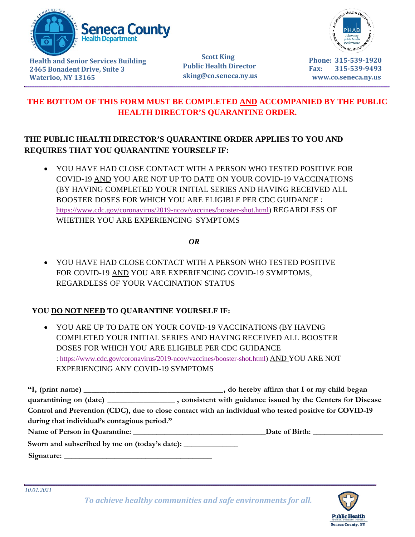

 **Scott King Public Health Director sking@co.seneca.ny.us** 



**Phone: 315-539-1920 Fax: 315-539-9493 www.co.seneca.ny.us**

## **THE BOTTOM OF THIS FORM MUST BE COMPLETED AND ACCOMPANIED BY THE PUBLIC HEALTH DIRECTOR'S QUARANTINE ORDER.**

## **THE PUBLIC HEALTH DIRECTOR'S QUARANTINE ORDER APPLIES TO YOU AND REQUIRES THAT YOU QUARANTINE YOURSELF IF:**

• YOU HAVE HAD CLOSE CONTACT WITH A PERSON WHO TESTED POSITIVE FOR COVID-19 AND YOU ARE NOT UP TO DATE ON YOUR COVID-19 VACCINATIONS (BY HAVING COMPLETED YOUR INITIAL SERIES AND HAVING RECEIVED ALL BOOSTER DOSES FOR WHICH YOU ARE ELIGIBLE PER CDC GUIDANCE : [https://www.cdc.gov/coronavirus/2019-ncov/vaccines/booster-shot.html\)](https://www.cdc.gov/coronavirus/2019-ncov/vaccines/booster-shot.html) REGARDLESS OF WHETHER YOU ARE EXPERIENCING SYMPTOMS

 *OR*

• YOU HAVE HAD CLOSE CONTACT WITH A PERSON WHO TESTED POSITIVE FOR COVID-19 AND YOU ARE EXPERIENCING COVID-19 SYMPTOMS, REGARDLESS OF YOUR VACCINATION STATUS

## **YOU DO NOT NEED TO QUARANTINE YOURSELF IF:**

• YOU ARE UP TO DATE ON YOUR COVID-19 VACCINATIONS (BY HAVING COMPLETED YOUR INITIAL SERIES AND HAVING RECEIVED ALL BOOSTER DOSES FOR WHICH YOU ARE ELIGIBLE PER CDC GUIDANCE : [https://www.cdc.gov/coronavirus/2019-ncov/vaccines/booster-shot.html\)](https://www.cdc.gov/coronavirus/2019-ncov/vaccines/booster-shot.html) AND YOU ARE NOT EXPERIENCING ANY COVID-19 SYMPTOMS

|                                                                                   | quarantining on (date) ____________________, consistent with guidance issued by the Centers for Disease |
|-----------------------------------------------------------------------------------|---------------------------------------------------------------------------------------------------------|
|                                                                                   | Control and Prevention (CDC), due to close contact with an individual who tested positive for COVID-19  |
| during that individual's contagious period."                                      |                                                                                                         |
| Name of Person in Quarantine: University of Person in Quarantine:                 |                                                                                                         |
| Sworn and subscribed by me on (today's date): ___________________________________ |                                                                                                         |
| Signature:                                                                        |                                                                                                         |

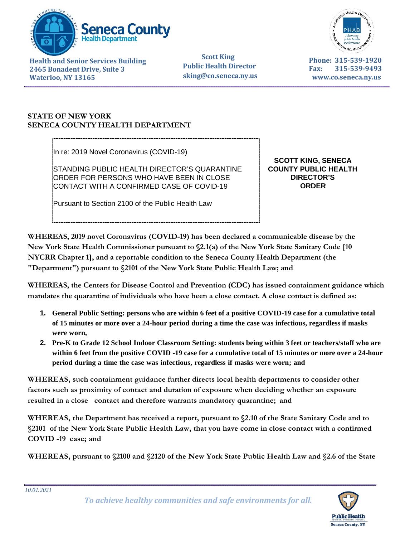



 **Scott King Public Health Director sking@co.seneca.ny.us** 

**Phone: 315-539-1920 Fax: 315-539-9493 www.co.seneca.ny.us**

## **STATE OF NEW YORK SENECA COUNTY HEALTH DEPARTMENT**

In re: 2019 Novel Coronavirus (COVID-19)

STANDING PUBLIC HEALTH DIRECTOR'S QUARANTINE ORDER FOR PERSONS WHO HAVE BEEN IN CLOSE CONTACT WITH A CONFIRMED CASE OF COVID-19

Pursuant to Section 2100 of the Public Health Law

**SCOTT KING, SENECA COUNTY PUBLIC HEALTH DIRECTOR'S ORDER**

**WHEREAS, 2019 novel Coronavirus (COVID-19) has been declared a communicable disease by the New York State Health Commissioner pursuant to §2.1(a) of the New York State Sanitary Code [10 NYCRR Chapter 1], and a reportable condition to the Seneca County Health Department (the "Department") pursuant to §2101 of the New York State Public Health Law; and** 

**WHEREAS, the Centers for Disease Control and Prevention (CDC) has issued containment guidance which mandates the quarantine of individuals who have been a close contact. A close contact is defined as:** 

- **1. General Public Setting: persons who are within 6 feet of a positive COVID-19 case for a cumulative total of 15 minutes or more over a 24-hour period during a time the case was infectious, regardless if masks were worn,**
- **2. Pre-K to Grade 12 School Indoor Classroom Setting: students being within 3 feet or teachers/staff who are within 6 feet from the positive COVID -19 case for a cumulative total of 15 minutes or more over a 24-hour period during a time the case was infectious, regardless if masks were worn; and**

**WHEREAS, such containment guidance further directs local health departments to consider other factors such as proximity of contact and duration of exposure when deciding whether an exposure resulted in a close contact and therefore warrants mandatory quarantine; and** 

**WHEREAS, the Department has received a report, pursuant to §2.10 of the State Sanitary Code and to §2101 of the New York State Public Health Law, that you have come in close contact with a confirmed COVID -19 case; and** 

**WHEREAS, pursuant to §2100 and §2120 of the New York State Public Health Law and §2.6 of the State** 

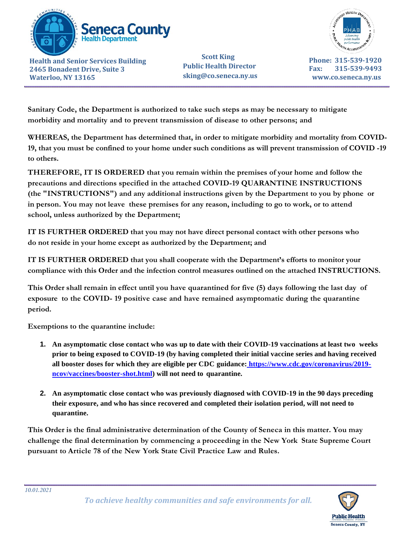

 **Scott King Public Health Director sking@co.seneca.ny.us** 



**Phone: 315-539-1920 Fax: 315-539-9493 www.co.seneca.ny.us**

 **Sanitary Code, the Department is authorized to take such steps as may be necessary to mitigate morbidity and mortality and to prevent transmission of disease to other persons; and** 

 **WHEREAS, the Department has determined that, in order to mitigate morbidity and mortality from COVID-19, that you must be confined to your home under such conditions as will prevent transmission of COVID -19 to others.** 

**THEREFORE, IT IS ORDERED that you remain within the premises of your home and follow the precautions and directions specified in the attached COVID-19 QUARANTINE INSTRUCTIONS (the "INSTRUCTIONS") and any additional instructions given by the Department to you by phone or in person. You may not leave these premises for any reason, including to go to work, or to attend school, unless authorized by the Department;**

**IT IS FURTHER ORDERED that you may not have direct personal contact with other persons who do not reside in your home except as authorized by the Department; and** 

**IT IS FURTHER ORDERED that you shall cooperate with the Department's efforts to monitor your compliance with this Order and the infection control measures outlined on the attached INSTRUCTIONS.** 

**This Order shall remain in effect until you have quarantined for five (5) days following the last day of exposure to the COVID- 19 positive case and have remained asymptomatic during the quarantine period.**

**Exemptions to the quarantine include:** 

- **1. An asymptomatic close contact who was up to date with their COVID-19 vaccinations at least two weeks prior to being exposed to COVID-19 (by having completed their initial vaccine series and having received all booster doses for which they are eligible per CDC guidance: [https://www.cdc.gov/coronavirus/2019](https://www.cdc.gov/coronavirus/2019-ncov/vaccines/booster-shot.html) [ncov/vaccines/booster-shot.html\)](https://www.cdc.gov/coronavirus/2019-ncov/vaccines/booster-shot.html) will not need to quarantine.**
- **2. An asymptomatic close contact who was previously diagnosed with COVID-19 in the 90 days preceding their exposure, and who has since recovered and completed their isolation period, will not need to quarantine.**

**This Order is the final administrative determination of the County of Seneca in this matter. You may challenge the final determination by commencing a proceeding in the New York State Supreme Court pursuant to Article 78 of the New York State Civil Practice Law and Rules.**